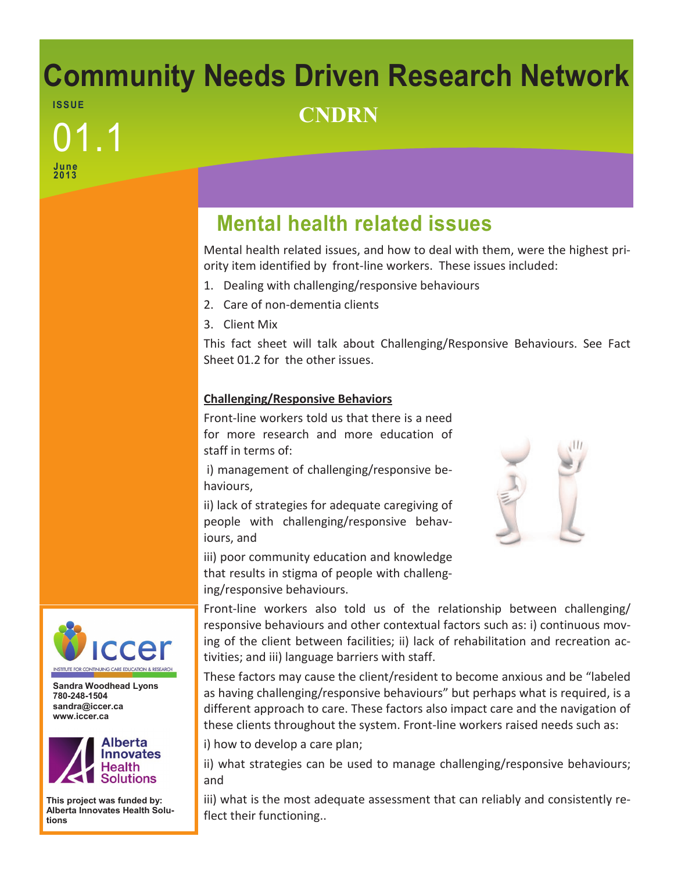### **Community Needs Driven Research Network ISS UE CNDRN**

# **June 2013** 01.1

## **Mental health related issues**

Mental health related issues, and how to deal with them, were the highest priority item identified by front-line workers. These issues included:

- 1. Dealing with challenging/responsive behaviours
- 2. Care of non-dementia clients
- 3. Client Mix

This fact sheet will talk about Challenging/Responsive Behaviours. See Fact Sheet 01.2 for the other issues.

#### **Challenging/Responsive Behaviors**

Front-line workers told us that there is a need for more research and more education of staff in terms of:

i) management of challenging/responsive behaviours,

ii) lack of strategies for adequate caregiving of people with challenging/responsive behaviours, and

iii) poor community education and knowledge that results in stigma of people with challenging/responsive behaviours.

Front-line workers also told us of the relationship between challenging/ responsive behaviours and other contextual factors such as: i) continuous moving of the client between facilities; ii) lack of rehabilitation and recreation activities; and iii) language barriers with staff.

These factors may cause the client/resident to become anxious and be "labeled as having challenging/responsive behaviours" but perhaps what is required, is a different approach to care. These factors also impact care and the navigation of these clients throughout the system. Front-line workers raised needs such as:

i) how to develop a care plan;

ii) what strategies can be used to manage challenging/responsive behaviours; and

iii) what is the most adequate assessment that can reliably and consistently reflect their functioning..



**Sandra Woodhead Lyons 780-248-1504 sandra@iccer.ca www.iccer.ca** 



**This project was funded by: Alberta Innovates Health Solutions**